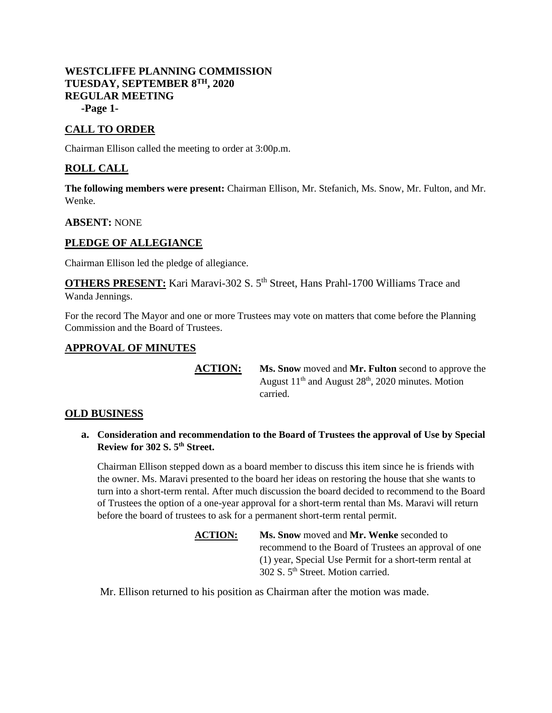## **WESTCLIFFE PLANNING COMMISSION TUESDAY, SEPTEMBER 8TH, 2020 REGULAR MEETING -Page 1-**

# **CALL TO ORDER**

Chairman Ellison called the meeting to order at 3:00p.m.

## **ROLL CALL**

**The following members were present:** Chairman Ellison, Mr. Stefanich, Ms. Snow, Mr. Fulton, and Mr. Wenke.

#### **ABSENT:** NONE

## **PLEDGE OF ALLEGIANCE**

Chairman Ellison led the pledge of allegiance.

**OTHERS PRESENT:** Kari Maravi-302 S. 5<sup>th</sup> Street, Hans Prahl-1700 Williams Trace and Wanda Jennings.

For the record The Mayor and one or more Trustees may vote on matters that come before the Planning Commission and the Board of Trustees.

### **APPROVAL OF MINUTES**

**ACTION: Ms. Snow** moved and **Mr. Fulton** second to approve the August  $11<sup>th</sup>$  and August  $28<sup>th</sup>$ , 2020 minutes. Motion carried.

#### **OLD BUSINESS**

**a. Consideration and recommendation to the Board of Trustees the approval of Use by Special Review for 302 S. 5th Street.**

Chairman Ellison stepped down as a board member to discuss this item since he is friends with the owner. Ms. Maravi presented to the board her ideas on restoring the house that she wants to turn into a short-term rental. After much discussion the board decided to recommend to the Board of Trustees the option of a one-year approval for a short-term rental than Ms. Maravi will return before the board of trustees to ask for a permanent short-term rental permit.

> **ACTION: Ms. Snow** moved and **Mr. Wenke** seconded to recommend to the Board of Trustees an approval of one (1) year, Special Use Permit for a short-term rental at 302 S. 5th Street. Motion carried.

Mr. Ellison returned to his position as Chairman after the motion was made.